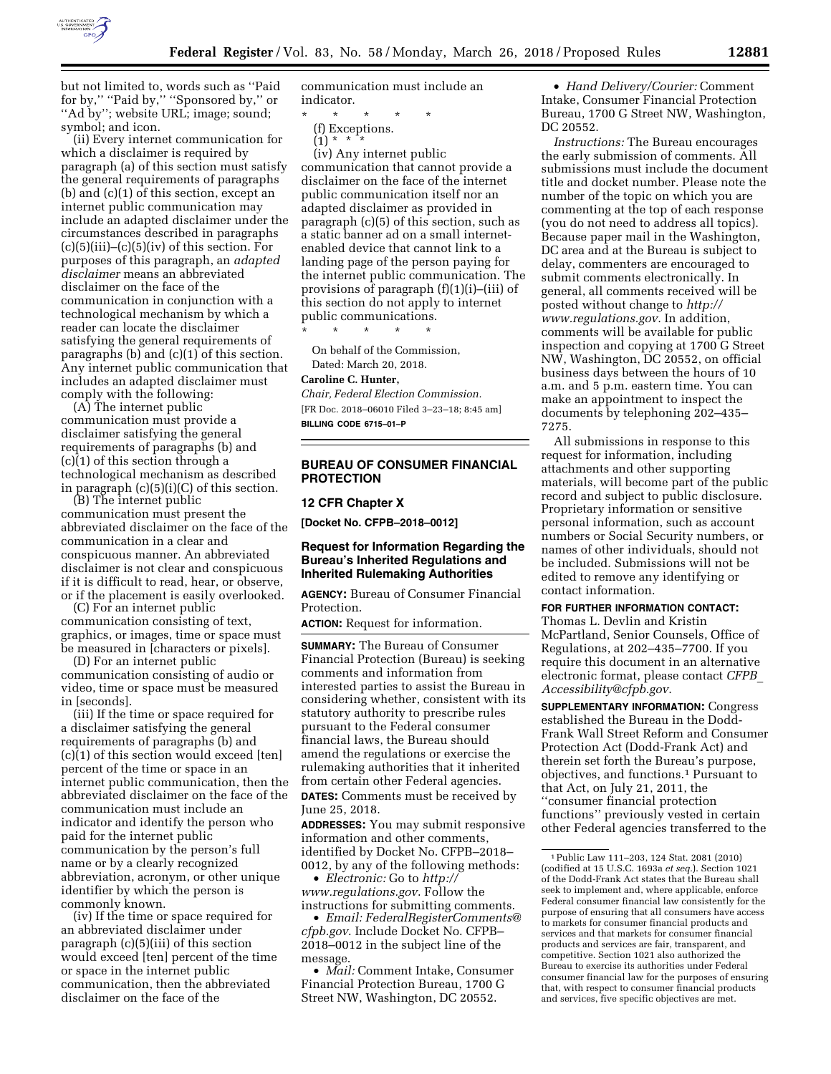

but not limited to, words such as ''Paid for by,'' ''Paid by,'' ''Sponsored by,'' or ''Ad by''; website URL; image; sound; symbol; and icon.

(ii) Every internet communication for which a disclaimer is required by paragraph (a) of this section must satisfy the general requirements of paragraphs (b) and (c)(1) of this section, except an internet public communication may include an adapted disclaimer under the circumstances described in paragraphs  $(c)(5)(iii)$ – $(c)(5)(iv)$  of this section. For purposes of this paragraph, an *adapted disclaimer* means an abbreviated disclaimer on the face of the communication in conjunction with a technological mechanism by which a reader can locate the disclaimer satisfying the general requirements of paragraphs (b) and (c)(1) of this section. Any internet public communication that includes an adapted disclaimer must comply with the following:

(A) The internet public communication must provide a disclaimer satisfying the general requirements of paragraphs (b) and (c)(1) of this section through a technological mechanism as described in paragraph (c)(5)(i)(C) of this section.

(B) The internet public communication must present the abbreviated disclaimer on the face of the communication in a clear and conspicuous manner. An abbreviated disclaimer is not clear and conspicuous if it is difficult to read, hear, or observe, or if the placement is easily overlooked.

(C) For an internet public communication consisting of text, graphics, or images, time or space must be measured in [characters or pixels].

(D) For an internet public communication consisting of audio or video, time or space must be measured in [seconds].

(iii) If the time or space required for a disclaimer satisfying the general requirements of paragraphs (b) and (c)(1) of this section would exceed [ten] percent of the time or space in an internet public communication, then the abbreviated disclaimer on the face of the communication must include an indicator and identify the person who paid for the internet public communication by the person's full name or by a clearly recognized abbreviation, acronym, or other unique identifier by which the person is commonly known.

(iv) If the time or space required for an abbreviated disclaimer under paragraph (c)(5)(iii) of this section would exceed [ten] percent of the time or space in the internet public communication, then the abbreviated disclaimer on the face of the

communication must include an indicator.

\* \* \* \* \*

(f) Exceptions.

 $(1) * *$ 

(iv) Any internet public communication that cannot provide a disclaimer on the face of the internet public communication itself nor an adapted disclaimer as provided in paragraph (c)(5) of this section, such as a static banner ad on a small internetenabled device that cannot link to a landing page of the person paying for the internet public communication. The provisions of paragraph (f)(1)(i)–(iii) of this section do not apply to internet public communications.

\* \* \* \* \*

On behalf of the Commission, Dated: March 20, 2018.

#### **Caroline C. Hunter,**

*Chair, Federal Election Commission.*  [FR Doc. 2018–06010 Filed 3–23–18; 8:45 am] **BILLING CODE 6715–01–P** 

### **BUREAU OF CONSUMER FINANCIAL PROTECTION**

#### **12 CFR Chapter X**

**[Docket No. CFPB–2018–0012]** 

### **Request for Information Regarding the Bureau's Inherited Regulations and Inherited Rulemaking Authorities**

**AGENCY:** Bureau of Consumer Financial Protection.

**ACTION:** Request for information.

**SUMMARY:** The Bureau of Consumer Financial Protection (Bureau) is seeking comments and information from interested parties to assist the Bureau in considering whether, consistent with its statutory authority to prescribe rules pursuant to the Federal consumer financial laws, the Bureau should amend the regulations or exercise the rulemaking authorities that it inherited from certain other Federal agencies. **DATES:** Comments must be received by June 25, 2018.

**ADDRESSES:** You may submit responsive information and other comments, identified by Docket No. CFPB–2018– 0012, by any of the following methods:

• *Electronic:* Go to *[http://](http://www.regulations.gov) [www.regulations.gov](http://www.regulations.gov)*. Follow the instructions for submitting comments.

• *Email: [FederalRegisterComments@](mailto:FederalRegisterComments@cfpb.gov) [cfpb.gov](mailto:FederalRegisterComments@cfpb.gov)*. Include Docket No. CFPB– 2018–0012 in the subject line of the message.

• *Mail:* Comment Intake, Consumer Financial Protection Bureau, 1700 G Street NW, Washington, DC 20552.

• *Hand Delivery/Courier:* Comment Intake, Consumer Financial Protection Bureau, 1700 G Street NW, Washington, DC 20552.

*Instructions:* The Bureau encourages the early submission of comments. All submissions must include the document title and docket number. Please note the number of the topic on which you are commenting at the top of each response (you do not need to address all topics). Because paper mail in the Washington, DC area and at the Bureau is subject to delay, commenters are encouraged to submit comments electronically. In general, all comments received will be posted without change to *[http://](http://www.regulations.gov) [www.regulations.gov](http://www.regulations.gov)*. In addition, comments will be available for public inspection and copying at 1700 G Street NW, Washington, DC 20552, on official business days between the hours of 10 a.m. and 5 p.m. eastern time. You can make an appointment to inspect the documents by telephoning 202–435– 7275.

All submissions in response to this request for information, including attachments and other supporting materials, will become part of the public record and subject to public disclosure. Proprietary information or sensitive personal information, such as account numbers or Social Security numbers, or names of other individuals, should not be included. Submissions will not be edited to remove any identifying or contact information.

**FOR FURTHER INFORMATION CONTACT:** 

Thomas L. Devlin and Kristin McPartland, Senior Counsels, Office of Regulations, at 202–435–7700. If you require this document in an alternative electronic format, please contact *[CFPB](mailto:CFPB_Accessibility@cfpb.gov)*\_ *[Accessibility@cfpb.gov](mailto:CFPB_Accessibility@cfpb.gov)*.

**SUPPLEMENTARY INFORMATION:** Congress established the Bureau in the Dodd-Frank Wall Street Reform and Consumer Protection Act (Dodd-Frank Act) and therein set forth the Bureau's purpose, objectives, and functions.1 Pursuant to that Act, on July 21, 2011, the ''consumer financial protection functions'' previously vested in certain other Federal agencies transferred to the

<sup>1</sup>Public Law 111–203, 124 Stat. 2081 (2010) (codified at 15 U.S.C. 1693a *et seq.*). Section 1021 of the Dodd-Frank Act states that the Bureau shall seek to implement and, where applicable, enforce Federal consumer financial law consistently for the purpose of ensuring that all consumers have access to markets for consumer financial products and services and that markets for consumer financial products and services are fair, transparent, and competitive. Section 1021 also authorized the Bureau to exercise its authorities under Federal consumer financial law for the purposes of ensuring that, with respect to consumer financial products and services, five specific objectives are met.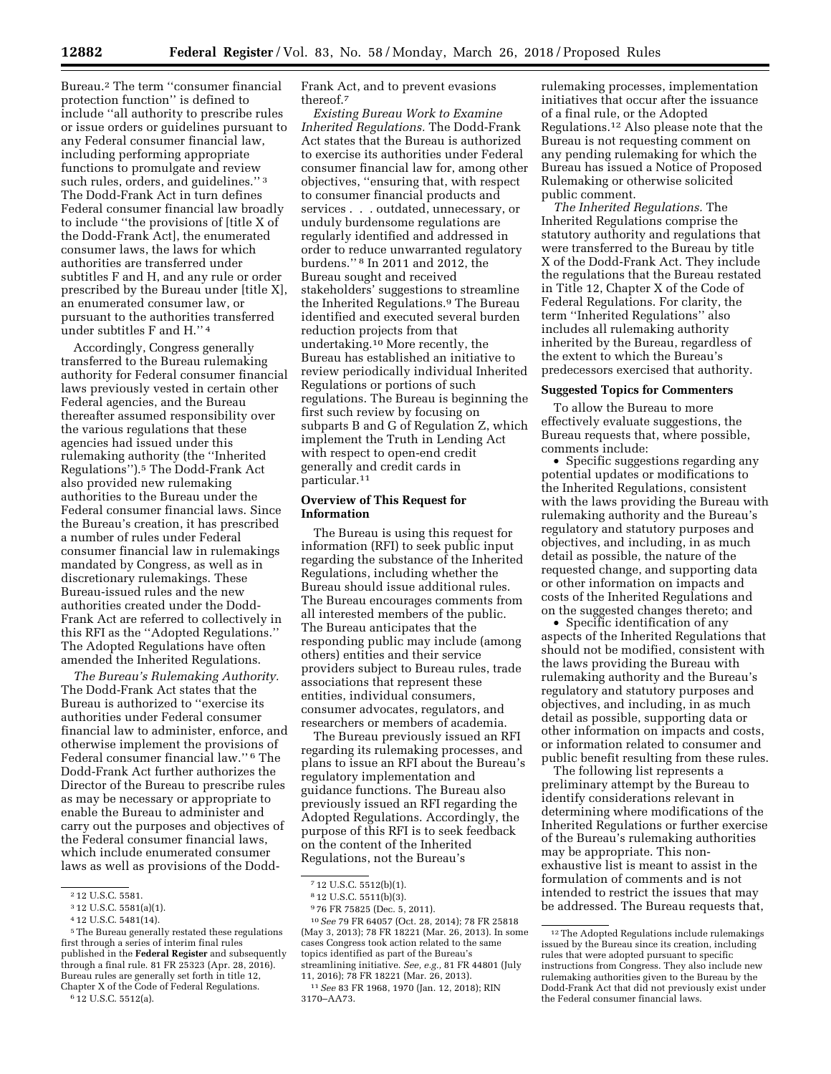Bureau.2 The term ''consumer financial protection function'' is defined to include ''all authority to prescribe rules or issue orders or guidelines pursuant to any Federal consumer financial law, including performing appropriate functions to promulgate and review such rules, orders, and guidelines."<sup>3</sup> The Dodd-Frank Act in turn defines Federal consumer financial law broadly to include ''the provisions of [title X of the Dodd-Frank Act], the enumerated consumer laws, the laws for which authorities are transferred under subtitles F and H, and any rule or order prescribed by the Bureau under [title X], an enumerated consumer law, or pursuant to the authorities transferred under subtitles F and H.'' 4

Accordingly, Congress generally transferred to the Bureau rulemaking authority for Federal consumer financial laws previously vested in certain other Federal agencies, and the Bureau thereafter assumed responsibility over the various regulations that these agencies had issued under this rulemaking authority (the ''Inherited Regulations'').5 The Dodd-Frank Act also provided new rulemaking authorities to the Bureau under the Federal consumer financial laws. Since the Bureau's creation, it has prescribed a number of rules under Federal consumer financial law in rulemakings mandated by Congress, as well as in discretionary rulemakings. These Bureau-issued rules and the new authorities created under the Dodd-Frank Act are referred to collectively in this RFI as the ''Adopted Regulations.'' The Adopted Regulations have often amended the Inherited Regulations.

*The Bureau's Rulemaking Authority.*  The Dodd-Frank Act states that the Bureau is authorized to ''exercise its authorities under Federal consumer financial law to administer, enforce, and otherwise implement the provisions of Federal consumer financial law.'' 6 The Dodd-Frank Act further authorizes the Director of the Bureau to prescribe rules as may be necessary or appropriate to enable the Bureau to administer and carry out the purposes and objectives of the Federal consumer financial laws, which include enumerated consumer laws as well as provisions of the Dodd-

6 12 U.S.C. 5512(a).

Frank Act, and to prevent evasions thereof.7

*Existing Bureau Work to Examine Inherited Regulations.* The Dodd-Frank Act states that the Bureau is authorized to exercise its authorities under Federal consumer financial law for, among other objectives, ''ensuring that, with respect to consumer financial products and services . . . outdated, unnecessary, or unduly burdensome regulations are regularly identified and addressed in order to reduce unwarranted regulatory burdens.'' 8 In 2011 and 2012, the Bureau sought and received stakeholders' suggestions to streamline the Inherited Regulations.9 The Bureau identified and executed several burden reduction projects from that undertaking.10 More recently, the Bureau has established an initiative to review periodically individual Inherited Regulations or portions of such regulations. The Bureau is beginning the first such review by focusing on subparts B and G of Regulation Z, which implement the Truth in Lending Act with respect to open-end credit generally and credit cards in particular.11

#### **Overview of This Request for Information**

The Bureau is using this request for information (RFI) to seek public input regarding the substance of the Inherited Regulations, including whether the Bureau should issue additional rules. The Bureau encourages comments from all interested members of the public. The Bureau anticipates that the responding public may include (among others) entities and their service providers subject to Bureau rules, trade associations that represent these entities, individual consumers, consumer advocates, regulators, and researchers or members of academia.

The Bureau previously issued an RFI regarding its rulemaking processes, and plans to issue an RFI about the Bureau's regulatory implementation and guidance functions. The Bureau also previously issued an RFI regarding the Adopted Regulations. Accordingly, the purpose of this RFI is to seek feedback on the content of the Inherited Regulations, not the Bureau's

10*See* 79 FR 64057 (Oct. 28, 2014); 78 FR 25818 (May 3, 2013); 78 FR 18221 (Mar. 26, 2013). In some cases Congress took action related to the same topics identified as part of the Bureau's streamlining initiative. *See, e.g.,* 81 FR 44801 (July 11, 2016); 78 FR 18221 (Mar. 26, 2013).

rulemaking processes, implementation initiatives that occur after the issuance of a final rule, or the Adopted Regulations.12 Also please note that the Bureau is not requesting comment on any pending rulemaking for which the Bureau has issued a Notice of Proposed Rulemaking or otherwise solicited public comment.

*The Inherited Regulations.* The Inherited Regulations comprise the statutory authority and regulations that were transferred to the Bureau by title X of the Dodd-Frank Act. They include the regulations that the Bureau restated in Title 12, Chapter X of the Code of Federal Regulations. For clarity, the term ''Inherited Regulations'' also includes all rulemaking authority inherited by the Bureau, regardless of the extent to which the Bureau's predecessors exercised that authority.

#### **Suggested Topics for Commenters**

To allow the Bureau to more effectively evaluate suggestions, the Bureau requests that, where possible, comments include:

• Specific suggestions regarding any potential updates or modifications to the Inherited Regulations, consistent with the laws providing the Bureau with rulemaking authority and the Bureau's regulatory and statutory purposes and objectives, and including, in as much detail as possible, the nature of the requested change, and supporting data or other information on impacts and costs of the Inherited Regulations and on the suggested changes thereto; and

• Specific identification of any aspects of the Inherited Regulations that should not be modified, consistent with the laws providing the Bureau with rulemaking authority and the Bureau's regulatory and statutory purposes and objectives, and including, in as much detail as possible, supporting data or other information on impacts and costs, or information related to consumer and public benefit resulting from these rules.

The following list represents a preliminary attempt by the Bureau to identify considerations relevant in determining where modifications of the Inherited Regulations or further exercise of the Bureau's rulemaking authorities may be appropriate. This nonexhaustive list is meant to assist in the formulation of comments and is not intended to restrict the issues that may be addressed. The Bureau requests that,

<sup>2</sup> 12 U.S.C. 5581.

<sup>3</sup> 12 U.S.C. 5581(a)(1).

<sup>4</sup> 12 U.S.C. 5481(14).

<sup>5</sup>The Bureau generally restated these regulations first through a series of interim final rules published in the **Federal Register** and subsequently through a final rule. 81 FR 25323 (Apr. 28, 2016). Bureau rules are generally set forth in title 12, Chapter X of the Code of Federal Regulations.

<sup>7</sup> 12 U.S.C. 5512(b)(1).

<sup>8</sup> 12 U.S.C. 5511(b)(3).

<sup>9</sup> 76 FR 75825 (Dec. 5, 2011).

<sup>11</sup>*See* 83 FR 1968, 1970 (Jan. 12, 2018); RIN 3170–AA73.

<sup>12</sup>The Adopted Regulations include rulemakings issued by the Bureau since its creation, including rules that were adopted pursuant to specific instructions from Congress. They also include new rulemaking authorities given to the Bureau by the Dodd-Frank Act that did not previously exist under the Federal consumer financial laws.